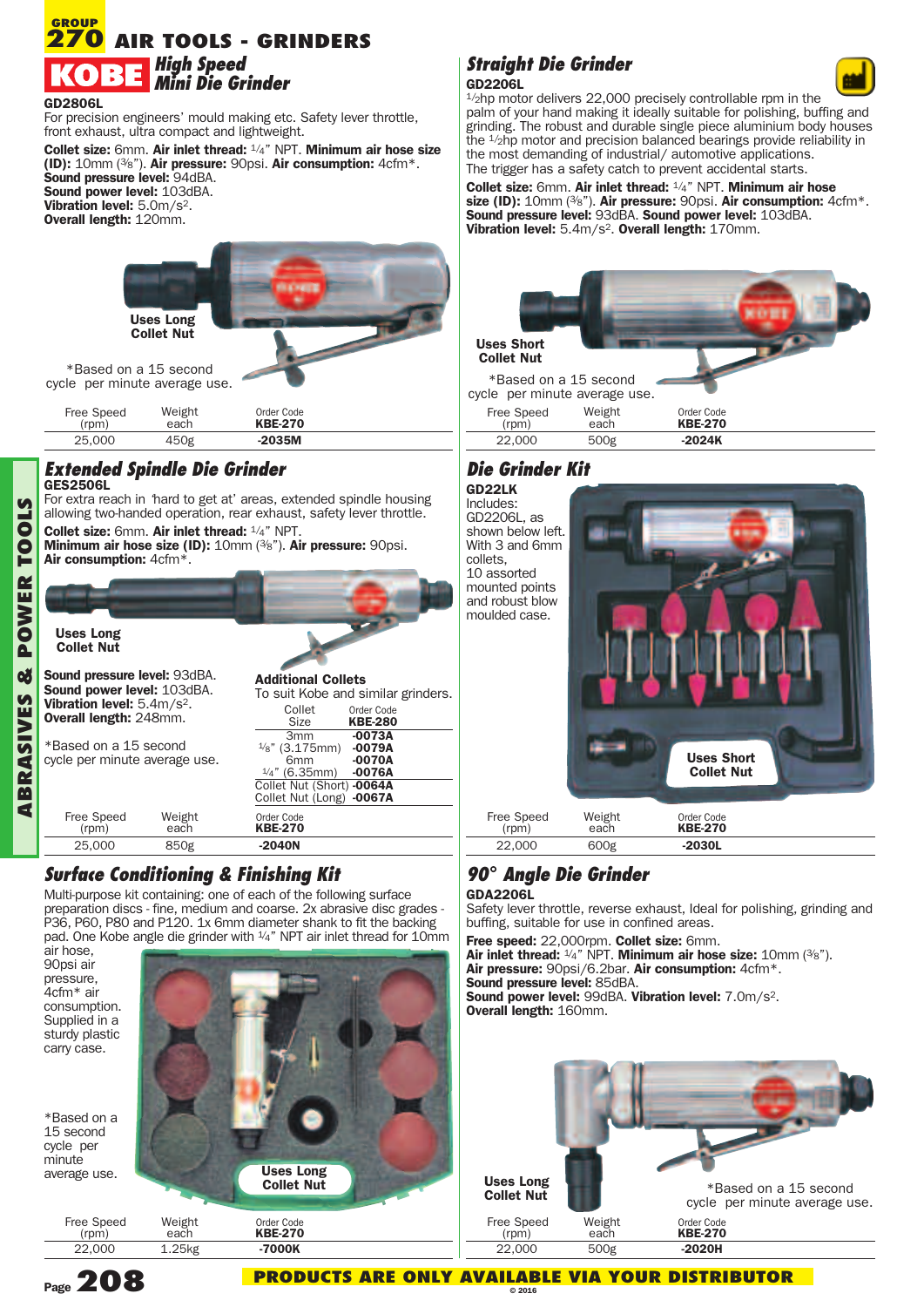### **AIR TOOLS - GRINDERS 270** *High Speed Mini Die Grinder* **GROUP**

### **GD2806L**

For precision engineers' mould making etc. Safety lever throttle, front exhaust, ultra compact and lightweight.

**Collet size:** 6mm. **Air inlet thread:** 1/4" NPT. **Minimum air hose size (ID):** 10mm (3/ 8"). **Air pressure:** 90psi. **Air consumption:** 4cfm\*. **Sound pressure level:** 94dBA.

**Sound power level:** 103dBA. **Vibration level:** 5.0m/s2. **Overall length:** 120mm.



| Free Speed | Weight | Order Code     |  |
|------------|--------|----------------|--|
| rpm).      | each   | <b>KBE-270</b> |  |
| 25,000     | 450g   | $-2035M$       |  |

### *Extended Spindle Die Grinder* **GES2506L**

For extra reach in 'hard to get at' areas, extended spindle housing allowing two-handed operation, rear exhaust, safety lever throttle.

**Collet size:** 6mm. **Air inlet thread:** 1/4" NPT. **Minimum air hose size (ID):** 10mm (3/ 8"). **Air pressure:** 90psi. **Air consumption:** 4cfm\*.

**Uses Long Collet Nut**

**Sound pressure level:** 93dBA. **Sound power level:** 103dBA. **Vibration level:** 5.4m/s2.

**Overall length:** 248mm. \*Based on a 15 second cycle per minute average use.

Free Speed Weight Order Code (rpm) each **KBE-270** Collet Order Code Size **KBE-280** 3mm **-0073A**  $1/n$ <sup>n</sup> 8" (3.175mm) **-0079A** 6mm **-0070A** 1/ 4" (6.35mm) **-0076A** Collet Nut (Short) **-0064A** Collet Nut (Long) **-0067A Additional Collets** To suit Kobe and similar grinders.

## *Surface Conditioning & Finishing Kit*

25,000 850g **-2040N**

Multi-purpose kit containing: one of each of the following surface preparation discs - fine, medium and coarse. 2x abrasive disc grades - P36, P60, P80 and P120. 1x 6mm diameter shank to fit the backing pad. One Kobe angle die grinder with  $\frac{1}{4}$ " NPT air inlet thread for 10mm

air hose, 90psi air pressure, 4cfm\* air consumption. Supplied in a sturdy plastic carry case.

**ABRA**

**SIV ES**

**&POW ERT O O L S** 

> \*Based on a 15 second cycle per minute average use.



22,000 1.25kg **-7000K**





 $1/2$ hp motor delivers 22,000 precisely controllable rpm in the palm of your hand making it ideally suitable for polishing, buffing and grinding. The robust and durable single piece aluminium body houses the 1/ 2hp motor and precision balanced bearings provide reliability in the most demanding of industrial/ automotive applications. The trigger has a safety catch to prevent accidental starts.

**Collet size:** 6mm. **Air inlet thread:** 1/ 4" NPT. **Minimum air hose** size (ID): 10mm (¾"). Air pressure: 90psi. Air consumption: 4cfm\*.<br>Sound pressure level: 93dBA. Sound power level: 103dBA.<br>Vibration level: 5.4m/s<sup>2</sup>. Overall length: 170mm.



# *Die Grinder Kit*

**GD22LK** Includes: GD2206L, as shown below left. With 3 and 6mm collets, 10 assorted mounted points and robust blow moulded case.



| Free Speed | Weight | Order Code     |  |
|------------|--------|----------------|--|
| (rom)      | each   | <b>KBE-270</b> |  |
| 22,000     | 600g   | $-2030L$       |  |

# *90*° *Angle Die Grinder*

### **GDA2206L**

Safety lever throttle, reverse exhaust, Ideal for polishing, grinding and buffing, suitable for use in confined areas.

**Free speed:** 22,000rpm. **Collet size:** 6mm. **Air inlet thread:** 1/ 4" NPT. **Minimum air hose size:** 10mm (3/ 8"). Air pressure: 90psi/6.2bar. Air consumption: 4cfm\*.<br>Sound pressure level: 85dBA.<br>Sound power level: 99dBA. Vibration level: 7.0m/s<sup>2</sup>.<br>Overall length: 160mm.



**Page208**

**PRODUCTS ARE ONLY AVAILABLE VIA YOUR DISTRIBUTOR © 2016**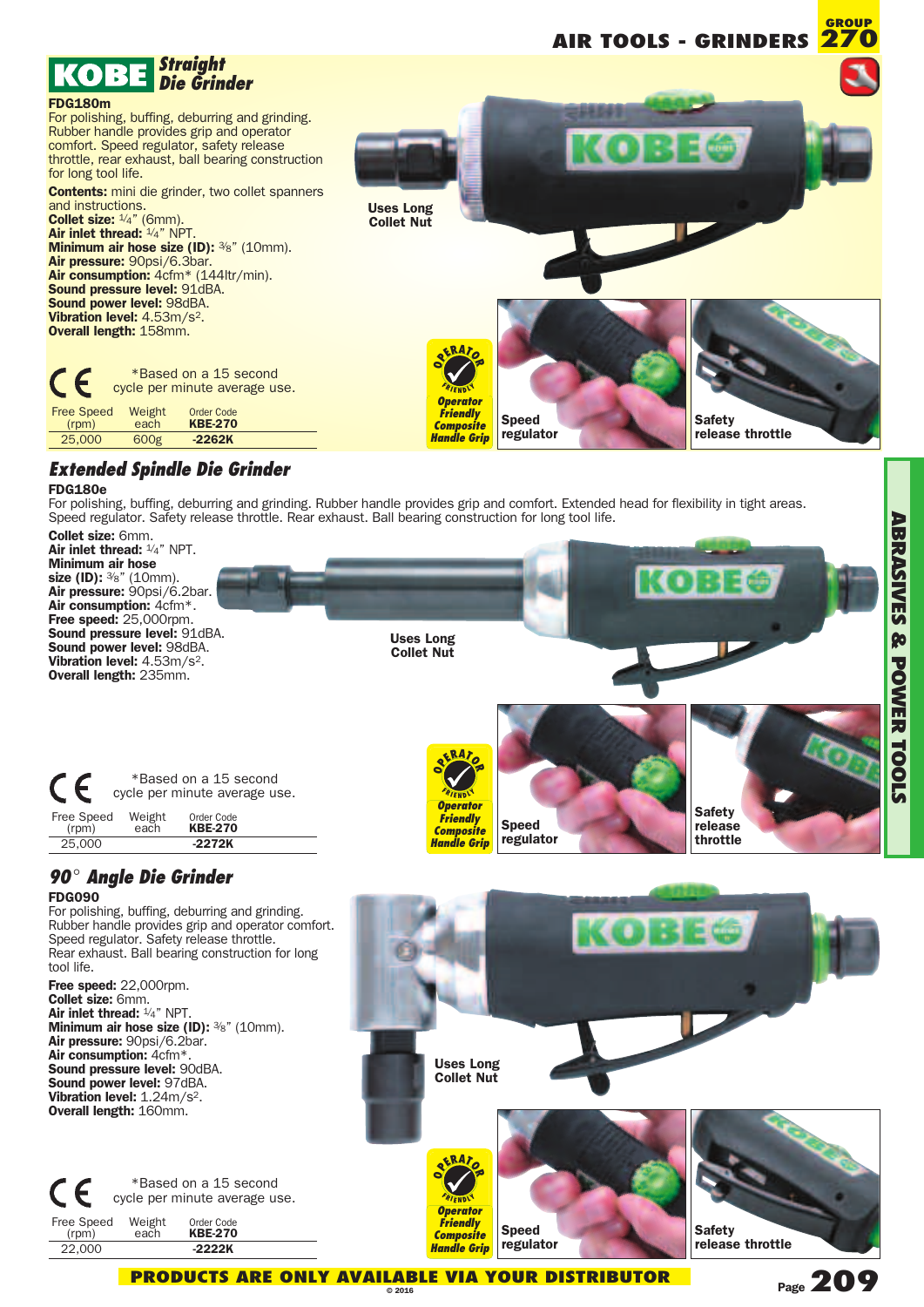

## *Extended Spindle Die Grinder*

#### **FDG180e**

For polishing, buffing, deburring and grinding. Rubber handle provides grip and comfort. Extended head for flexibility in tight areas. Speed regulator. Safety release throttle. Rear exhaust. Ball bearing construction for long tool life.



**A B**

**RASIV E S**

**& P**

**OW E R**

**T O**

**O L S**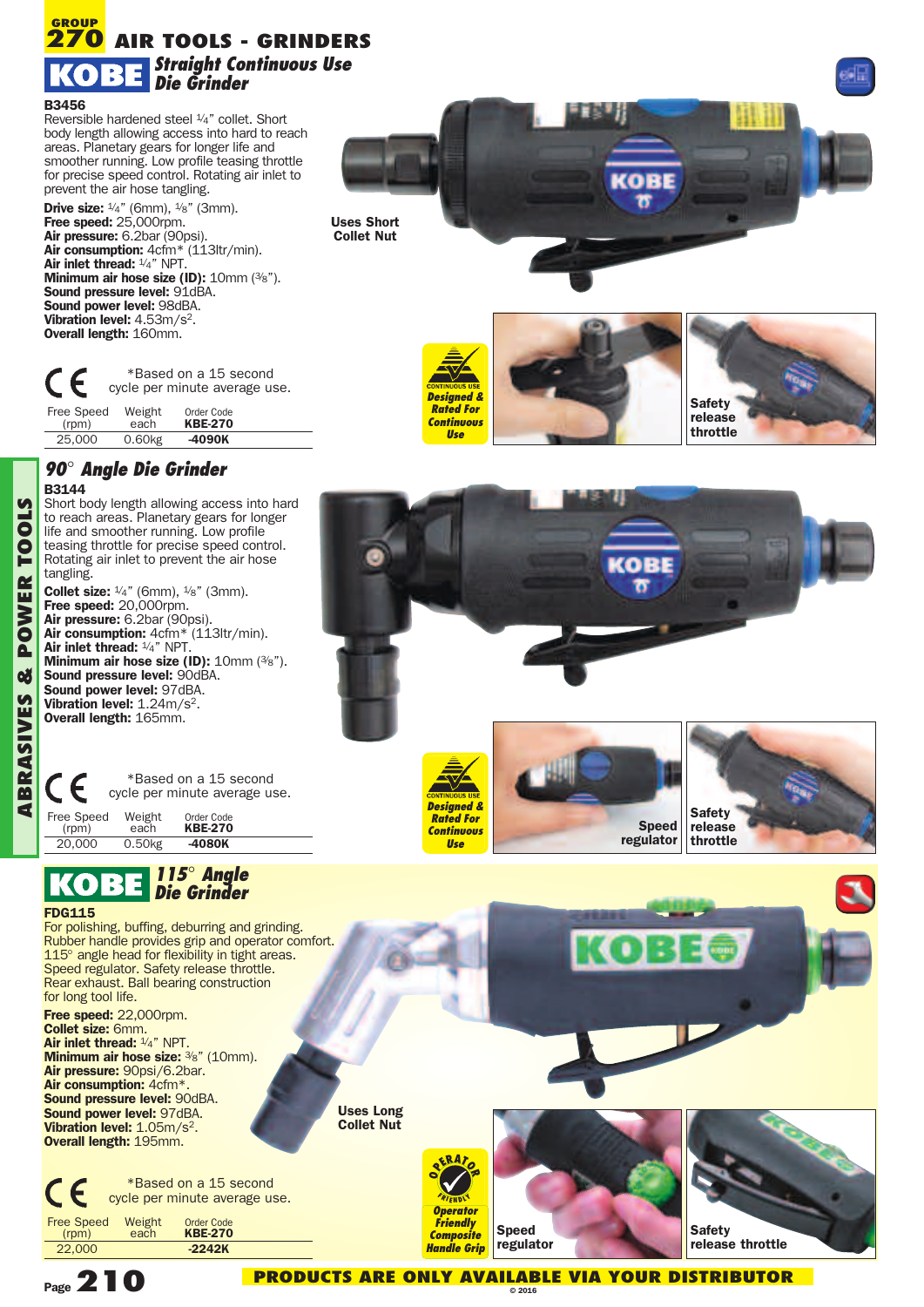#### **GROUP AIR TOOLS - GRINDERS 270** *Straight Continuous Use* Ε B  $\mathbf{O}$ *Die Grinder*

**Uses Short Collet Nut**

#### **B3456**

Reversible hardened steel <sup>1/4"</sup> collet. Short body length allowing access into hard to reach areas. Planetary gears for longer life and smoother running. Low profile teasing throttle for precise speed control. Rotating air inlet to prevent the air hose tangling.

**Drive size:**  $\frac{1}{4}$ " (6mm),  $\frac{1}{8}$ " (3mm). **Free speed:** 25,000rpm. **Air pressure:** 6.2bar (90psi). **Air consumption:** 4cfm\* (113ltr/min). **Air inlet thread:** 1/ 4" NPT. **Minimum air hose size (ID):** 10mm (3/ 8"). **Sound pressure level:** 91dBA. **Sound power level:** 98dBA. **Vibration level:** 4.53m/s2. **Overall length:** 160mm.

\*Based on a 15 second CE cycle per minute average use. Free Speed Weight ee Speed Weight Order Code<br>(rpm) each **KBE-270** 

25,000 0.60kg **-4090K**

### *90*° *Angle Die Grinder* **B3144**

Short body length allowing access into hard to reach areas. Planetary gears for longer life and smoother running. Low profile teasing throttle for precise speed control. Rotating air inlet to prevent the air hose tangling.

**Collet size:**  $\frac{1}{4}$ " (6mm),  $\frac{1}{8}$ " (3mm). **Free speed:** 20,000rpm.<br>**Air pressure:** 6.2bar (90psi).<br>**Air consumption:** 4cfm\* (113ltr/min). Air inlet thread: 1/4" NPT. **Minimum air hose size (ID):** 10mm (3/ 8"). **Sound pressure level:** 90dBA. **Sound power level:** 97dBA. **Vibration level:** 1.24m/s2. **Overall length:** 165mm.

\*Based on a 15 second CE cycle per minute average use.

| Free Speed | Weight             | Order Code     |
|------------|--------------------|----------------|
| (rpm)      | each               | <b>KBE-270</b> |
| 20,000     | 0.50 <sub>kg</sub> | $-4080K$       |

#### *115*° *Angle* **KOBE** *Die Grinder*

### **FDG115**

**ABRA**

**SIV ES**

**&POW ERT O O L** <u>ທ</u>

> For polishing, buffing, deburring and grinding. Rubber handle provides grip and operator comfort. 115° angle head for flexibility in tight areas. Speed regulator. Safety release throttle. Rear exhaust. Ball bearing construction for long tool life.

**Free speed:** 22,000rpm. **Collet size:** 6mm. **Air inlet thread:** 1/ 4" NPT. **Minimum air hose size:** 3/ 8" (10mm). **Air pressure:** 90psi/6.2bar. **Air consumption:** 4cfm\*. **Sound pressure level:** 90dBA. **Sound power level:** 97dBA. **Vibration level:** 1.05m/s2. **Overall length:** 195mm.

|    | *Based on a 15 second         |
|----|-------------------------------|
| CE | cycle per minute average use. |
|    |                               |

Free Speed Weight ee Speed Weight Order Code<br>(rpm) each **KBE-270** 22,000 **-2242K**











**Safety release throttle**

**Speed regulator**